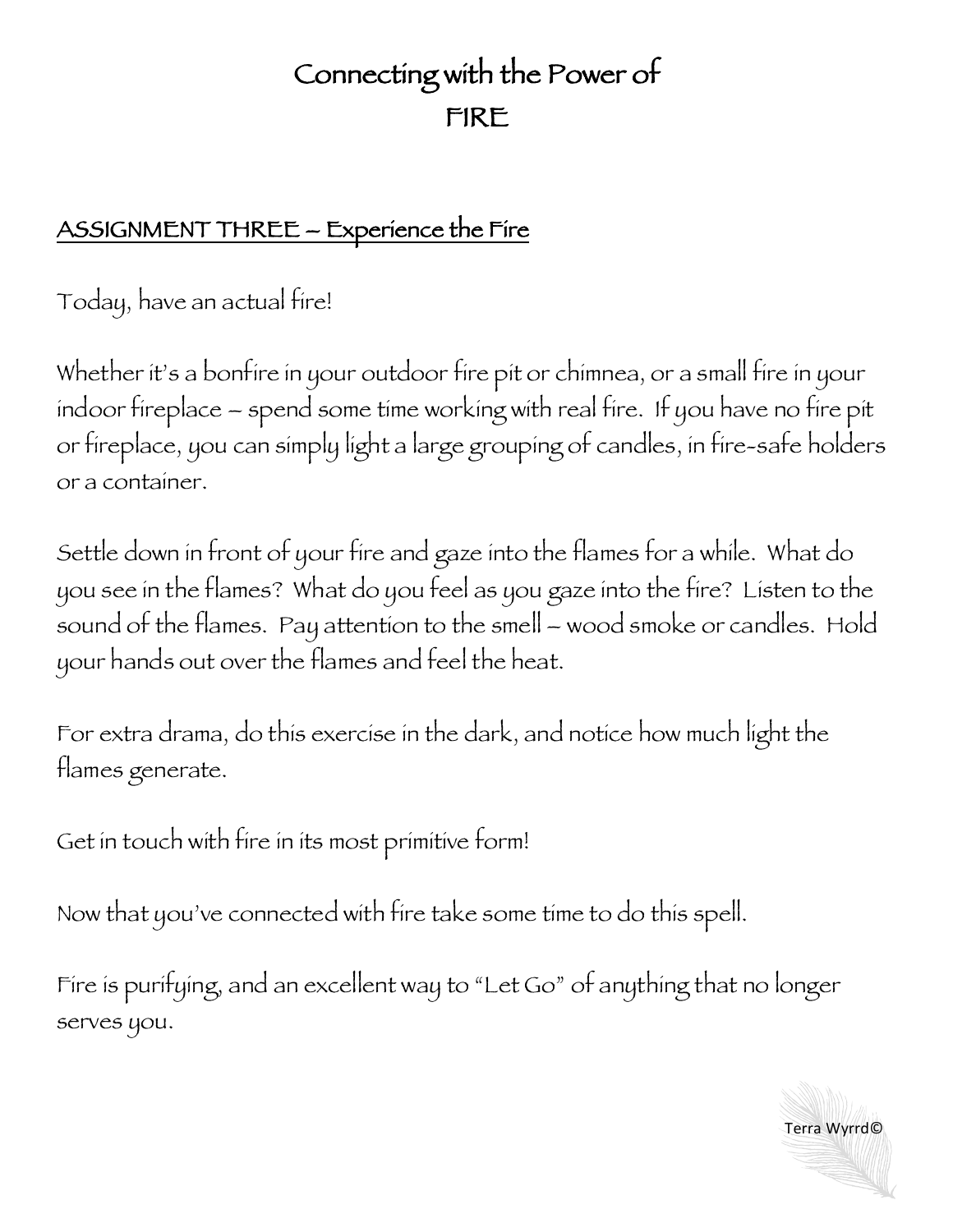## Connecting with the Power of FIRE

## ASSIGNMENT THREE – Experience the Fire

Today, have an actual fire!

Whether it's a bonfire in your outdoor fire pit or chimnea, or a small fire in your indoor fireplace – spend some time working with real fire. If you have no fire pit or fireplace, you can simply light a large grouping of candles, in fire-safe holders or a container.

Settle down in front of your fire and gaze into the flames for a while. What do you see in the flames? What do you feel as you gaze into the fire? Listen to the sound of the flames. Pay attention to the smell – wood smoke or candles. Hold your hands out over the flames and feel the heat.

For extra drama, do this exercise in the dark, and notice how much light the flames generate.

Get in touch with fire in its most primitive form!

Now that you've connected with fire take some time to do this spell.

Fire is purifying, and an excellent way to "Let Go" of anything that no longer serves you.